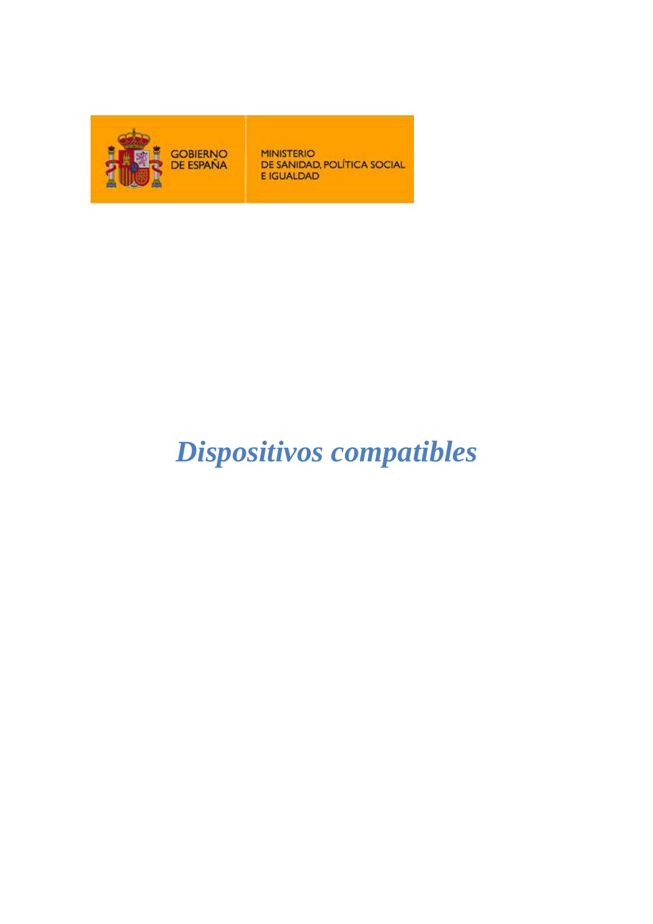

**MINISTERIO** DE SANIDAD, POLÍTICA SOCIAL E IGUALDAD

## *Dispositivos compatibles*